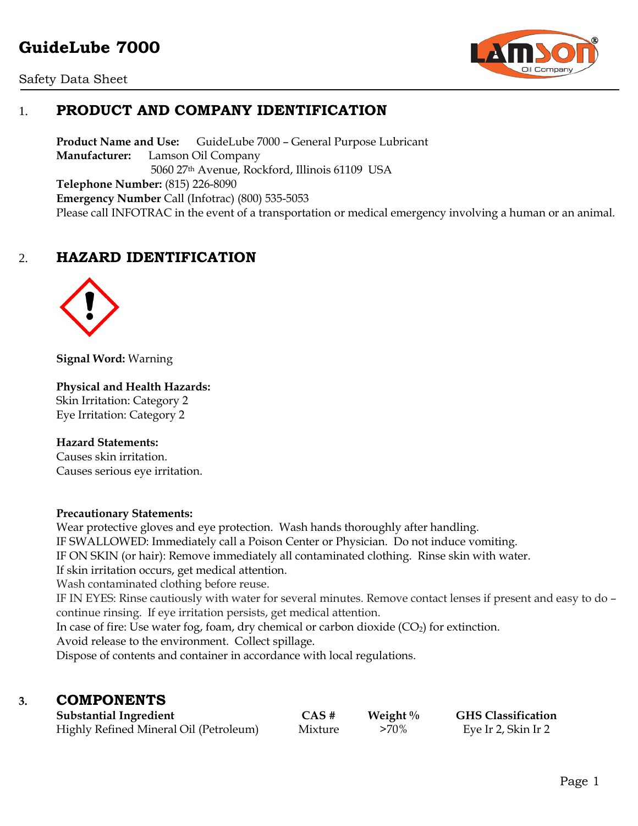# **GuideLube 7000**





# 1. **PRODUCT AND COMPANY IDENTIFICATION**

**Product Name and Use:** GuideLube 7000 – General Purpose Lubricant **Manufacturer:** Lamson Oil Company 5060 27th Avenue, Rockford, Illinois 61109 USA **Telephone Number:** (815) 226-8090 **Emergency Number** Call (Infotrac) (800) 535-5053 Please call INFOTRAC in the event of a transportation or medical emergency involving a human or an animal.

# 2. **HAZARD IDENTIFICATION**



**Signal Word:** Warning

#### **Physical and Health Hazards:**

Skin Irritation: Category 2 Eye Irritation: Category 2

#### **Hazard Statements:**

Causes skin irritation. Causes serious eye irritation.

#### **Precautionary Statements:**

Wear protective gloves and eye protection. Wash hands thoroughly after handling. IF SWALLOWED: Immediately call a Poison Center or Physician. Do not induce vomiting. IF ON SKIN (or hair): Remove immediately all contaminated clothing. Rinse skin with water. If skin irritation occurs, get medical attention. Wash contaminated clothing before reuse. IF IN EYES: Rinse cautiously with water for several minutes. Remove contact lenses if present and easy to do – continue rinsing. If eye irritation persists, get medical attention. In case of fire: Use water fog, foam, dry chemical or carbon dioxide  $(CO_2)$  for extinction.

Avoid release to the environment. Collect spillage. Dispose of contents and container in accordance with local regulations.

# **3. COMPONENTS**

| <b>Substantial Ingredient</b>          | $CAS \#$ | Weight $\%$ | <b>GHS Classification</b> |
|----------------------------------------|----------|-------------|---------------------------|
| Highly Refined Mineral Oil (Petroleum) | Mixture  | $>70\%$     | Eye Ir 2, Skin Ir 2       |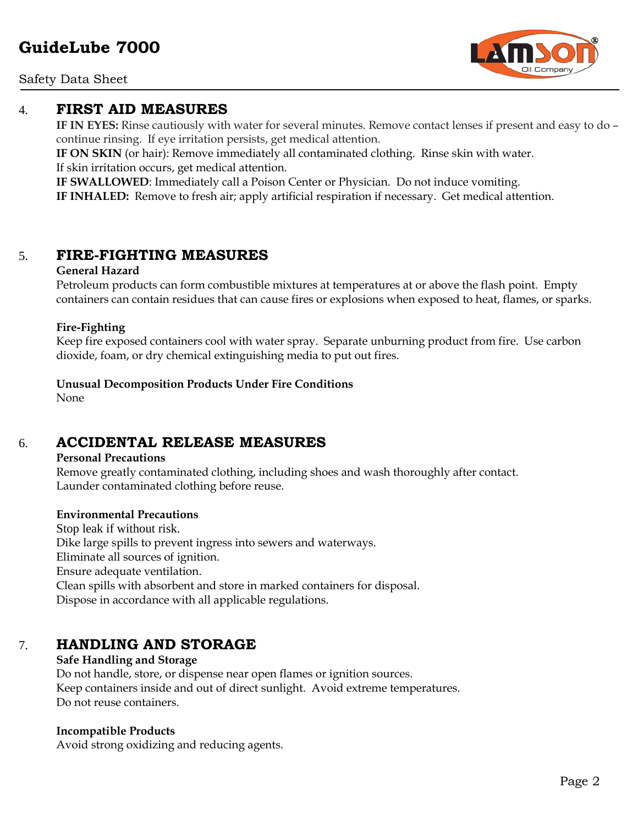Safety Data Sheet

### 4. **FIRST AID MEASURES**

**IF IN EYES:** Rinse cautiously with water for several minutes. Remove contact lenses if present and easy to do – continue rinsing. If eye irritation persists, get medical attention.

**IF ON SKIN** (or hair): Remove immediately all contaminated clothing. Rinse skin with water. If skin irritation occurs, get medical attention.

**IF SWALLOWED**: Immediately call a Poison Center or Physician. Do not induce vomiting. **IF INHALED:** Remove to fresh air; apply artificial respiration if necessary. Get medical attention.

# 5. **FIRE-FIGHTING MEASURES**

#### **General Hazard**

Petroleum products can form combustible mixtures at temperatures at or above the flash point. Empty containers can contain residues that can cause fires or explosions when exposed to heat, flames, or sparks.

#### **Fire-Fighting**

Keep fire exposed containers cool with water spray. Separate unburning product from fire. Use carbon dioxide, foam, or dry chemical extinguishing media to put out fires.

**Unusual Decomposition Products Under Fire Conditions**

None

# 6. **ACCIDENTAL RELEASE MEASURES**

#### **Personal Precautions**

Remove greatly contaminated clothing, including shoes and wash thoroughly after contact. Launder contaminated clothing before reuse.

#### **Environmental Precautions**

Stop leak if without risk. Dike large spills to prevent ingress into sewers and waterways. Eliminate all sources of ignition. Ensure adequate ventilation. Clean spills with absorbent and store in marked containers for disposal. Dispose in accordance with all applicable regulations.

# 7. **HANDLING AND STORAGE**

#### **Safe Handling and Storage**

Do not handle, store, or dispense near open flames or ignition sources. Keep containers inside and out of direct sunlight. Avoid extreme temperatures. Do not reuse containers.

#### **Incompatible Products**

Avoid strong oxidizing and reducing agents.

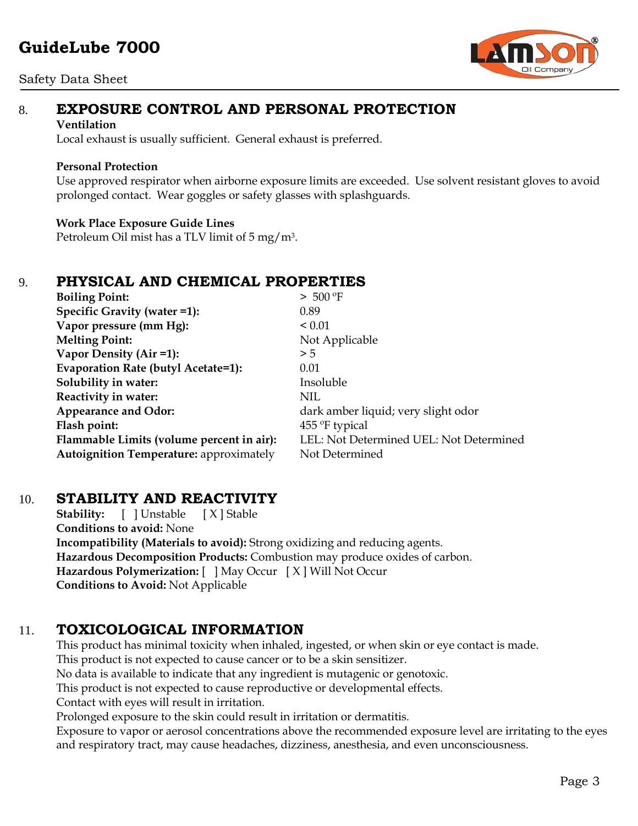#### Safety Data Sheet



# 8. **EXPOSURE CONTROL AND PERSONAL PROTECTION**

#### **Ventilation**

Local exhaust is usually sufficient. General exhaust is preferred.

#### **Personal Protection**

Use approved respirator when airborne exposure limits are exceeded. Use solvent resistant gloves to avoid prolonged contact. Wear goggles or safety glasses with splashguards.

#### **Work Place Exposure Guide Lines**

Petroleum Oil mist has a TLV limit of 5 mg/m3.

# 9. **PHYSICAL AND CHEMICAL PROPERTIES**

| <b>Boiling Point:</b>                          | > 500 °F                                |
|------------------------------------------------|-----------------------------------------|
| Specific Gravity (water =1):                   | 0.89                                    |
| Vapor pressure (mm Hg):                        | ${}_{0.01}$                             |
| <b>Melting Point:</b>                          | Not Applicable                          |
| Vapor Density (Air =1):                        | > 5                                     |
| Evaporation Rate (butyl Acetate=1):            | 0.01                                    |
| Solubility in water:                           | Insoluble                               |
| Reactivity in water:                           | NIL                                     |
| <b>Appearance and Odor:</b>                    | dark amber liquid; very slight odor     |
| Flash point:                                   | $455^{\circ}$ F typical                 |
| Flammable Limits (volume percent in air):      | LEL: Not Determined UEL: Not Determined |
| <b>Autoignition Temperature:</b> approximately | Not Determined                          |

### 10. **STABILITY AND REACTIVITY**

**Stability:** [ ] Unstable [ X ] Stable **Conditions to avoid:** None **Incompatibility (Materials to avoid):** Strong oxidizing and reducing agents. **Hazardous Decomposition Products:** Combustion may produce oxides of carbon. **Hazardous Polymerization:** [ ] May Occur [ X ] Will Not Occur **Conditions to Avoid:** Not Applicable

# 11. **TOXICOLOGICAL INFORMATION**

This product has minimal toxicity when inhaled, ingested, or when skin or eye contact is made. This product is not expected to cause cancer or to be a skin sensitizer. No data is available to indicate that any ingredient is mutagenic or genotoxic. This product is not expected to cause reproductive or developmental effects. Contact with eyes will result in irritation. Prolonged exposure to the skin could result in irritation or dermatitis.

Exposure to vapor or aerosol concentrations above the recommended exposure level are irritating to the eyes and respiratory tract, may cause headaches, dizziness, anesthesia, and even unconsciousness.